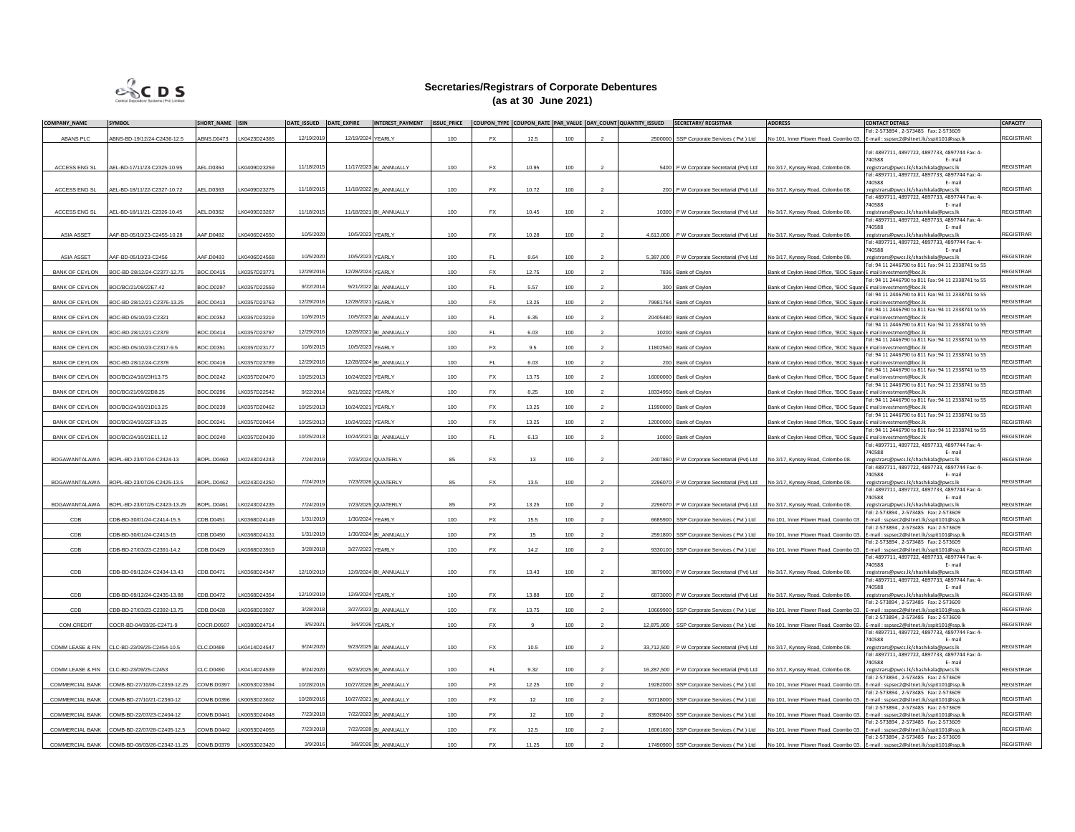

## **Secretaries/Registrars of Corporate Debentures (as at 30 June 2021)**

| <b>COMPANY NAME</b>    | <b>SYMBOL</b>                                | SHORT NAME ISIN   |              | DATE ISSUED DATE EXPIRE |                   | INTEREST_PAYMENT ISSUE_PRICE COUPON_TYPE COUPON_RATE PAR_VALUE DAY_COUNT QUANTITY_ISSUED |     |           |       |     |                |          | SECRETARY/REGISTRAR                                                           | <b>ADDRESS</b>                                                   | <b>CONTACT DETAILS</b>                                                                                                      | <b>CAPACITY</b>  |
|------------------------|----------------------------------------------|-------------------|--------------|-------------------------|-------------------|------------------------------------------------------------------------------------------|-----|-----------|-------|-----|----------------|----------|-------------------------------------------------------------------------------|------------------------------------------------------------------|-----------------------------------------------------------------------------------------------------------------------------|------------------|
|                        |                                              |                   |              |                         |                   |                                                                                          |     |           |       |     |                |          |                                                                               |                                                                  | Tel: 2-573894 . 2-573485    Fax: 2-573609                                                                                   |                  |
| ABANS PLC              | ABNS-BD-19/12/24-C2436-12.5                  | <b>ABNS.D0473</b> | LK0423D24365 | 12/19/2019              | 12/19/2024 YEARLY |                                                                                          | 100 | <b>FX</b> | 12.5  | 100 |                |          | 2500000 SSP Corporate Services (Pvt ) Ltd                                     |                                                                  | No 101, Inner Flower Road, Coombo 03. E-mail : sspsec2@sltnet.lk/sspit101@ssp.lk                                            | <b>REGISTRAR</b> |
|                        |                                              |                   |              |                         |                   |                                                                                          |     |           |       |     |                |          |                                                                               |                                                                  | Tel: 4897711, 4897722, 4897733, 4897744 Fax: 4-                                                                             |                  |
|                        |                                              |                   |              |                         |                   |                                                                                          |     |           |       |     |                |          |                                                                               |                                                                  | 740588<br>E-mail                                                                                                            |                  |
| <b>ACCESS ENG SI</b>   | AEL-BD-17/11/23-C2325-10.95                  | AEL.D0364         | K0409D23259  | 11/18/2015              |                   | 11/17/2023 BI ANNUALLY                                                                   | 100 | <b>FX</b> | 10.95 | 100 |                |          | 5400 P W Corporate Secretarial (Pvt) Ltd No 3/17, Kynsey Road, Colombo 08     |                                                                  | :registrars@pwcs.lk/shashikala@pwcs.lk<br>Tel: 4897711, 4897722, 4897733, 4897744 Fax: 4-                                   | <b>REGISTRAR</b> |
|                        |                                              |                   |              |                         |                   |                                                                                          |     |           |       |     |                |          |                                                                               |                                                                  | 740588<br>F- mail                                                                                                           |                  |
| ACCESS ENG SL          | AEL-BD-18/11/22-C2327-10.72                  | AEL.D0363         | LK0409D23275 | 11/18/2015              |                   | 11/18/2022 BI ANNUALLY                                                                   | 100 | <b>FX</b> | 10.72 | 100 |                |          | 200 P W Corporate Secretarial (Pvt) Ltd                                       | No 3/17, Kynsey Road, Colombo 08.                                | :registrars@pwcs.lk/shashikala@pwcs.lk                                                                                      | REGISTRAR        |
|                        |                                              |                   |              |                         |                   |                                                                                          |     |           |       |     |                |          |                                                                               |                                                                  | Tel: 4897711, 4897722, 4897733, 4897744 Fax: 4-                                                                             |                  |
| ACCESS ENG S           | AEL-BD-18/11/21-C2326-10.45                  | AEL.D0362         | K0409D23267  | 11/18/2015              |                   | 11/18/2021 BI_ANNUALLY                                                                   | 100 | <b>FX</b> | 10.45 | 100 |                |          | 10300 P W Corporate Secretarial (Pvt) Ltd                                     | No 3/17, Kynsey Road, Colombo 08                                 | 740588<br>E-mail<br>registrars@pwcs.lk/shashikala@pwcs.lk                                                                   | <b>REGISTRAR</b> |
|                        |                                              |                   |              |                         |                   |                                                                                          |     |           |       |     |                |          |                                                                               |                                                                  | Tel: 4897711, 4897722, 4897733, 4897744 Fax: 4-                                                                             |                  |
|                        |                                              |                   |              |                         |                   |                                                                                          |     |           |       |     |                |          |                                                                               |                                                                  | 740588<br>E-mail                                                                                                            |                  |
| ASIA ASSET             | AAF-BD-05/10/23-C2455-10.28                  | AAF.D0492         | LK0406D24550 | 10/5/2020               | 10/5/2023 YEARLY  |                                                                                          | 100 | <b>FX</b> | 10.28 | 100 | $\overline{z}$ |          | 4.613.000 P W Corporate Secretarial (Pvt) Ltd                                 | No 3/17, Kynsey Road, Colombo 08                                 | :registrars@pwcs.lk/shashikala@pwcs.lk<br>Tel: 4897711, 4897722, 4897733, 4897744 Fax: 4-                                   | <b>REGISTRAR</b> |
|                        |                                              |                   |              |                         |                   |                                                                                          |     |           |       |     |                |          |                                                                               |                                                                  | 740588<br>E-mail                                                                                                            |                  |
| ASIA ASSET             | AAF-BD-05/10/23-C2456                        | AAF.D0493         | LK0406D24568 | 10/5/2020               | 10/5/2023 YEARLY  |                                                                                          | 100 | FL.       | 8.64  | 100 | $\overline{2}$ |          | 5,387,000 P W Corporate Secretarial (Pvt) Ltd                                 | No 3/17, Kynsey Road, Colombo 08.                                | :registrars@pwcs.lk/shashikala@pwcs.lk                                                                                      | <b>REGISTRAR</b> |
|                        |                                              |                   |              |                         |                   |                                                                                          |     |           |       |     |                |          |                                                                               |                                                                  | Tel: 94 11 2446790 to 811 Fax: 94 11 2338741 to 55                                                                          |                  |
| <b>BANK OF CEYLON</b>  | BOC-BD-28/12/24-C2377-12.75                  | <b>BOC.D0415</b>  | K0357D23771  | 12/29/2016              | 12/28/2024 YEARLY |                                                                                          | 100 | <b>FX</b> | 12.75 | 100 |                |          | 7836 Bank of Ceylon                                                           | Bank of Ceylon Head Office, "BOC Square E mail:investment@boc.lk | Tel: 94 11 2446790 to 811 Fax: 94 11 2338741 to 55                                                                          | <b>REGISTRAR</b> |
| <b>BANK OF CEYLON</b>  | BOC/BC/21/09/22E7.42                         | BOC.D0297         | LK0357D22559 | 9/22/2014               |                   | 9/21/2022 BI ANNUALLY                                                                    | 100 | FL.       | 5.57  | 100 |                |          | 300 Bank of Ceylon                                                            | Bank of Ceylon Head Office, "BOC Square E mail:investment@boc.lk |                                                                                                                             | <b>REGISTRAR</b> |
|                        |                                              |                   |              |                         |                   |                                                                                          |     |           |       |     |                |          |                                                                               |                                                                  | Tel: 94 11 2446790 to 811 Fax: 94 11 2338741 to 55                                                                          |                  |
| <b>BANK OF CEYLON</b>  | BOC-BD-28/12/21-C2376-13.25                  | BOC.D0413         | LK0357D23763 | 12/29/2016              | 12/28/2021 YEARLY |                                                                                          | 100 | <b>FX</b> | 13.25 | 100 |                |          | 79981764 Bank of Ceylon                                                       | Bank of Ceylon Head Office, "BOC Square E mail:investment@boc.lk | Tel: 94 11 2446790 to 811 Fax: 94 11 2338741 to 55                                                                          | <b>REGISTRAR</b> |
| <b>BANK OF CEYLON</b>  | BOC-BD-05/10/23-C2321                        | <b>BOC.D0352</b>  | LK0357D23219 | 10/6/2015               |                   | 10/5/2023 BI ANNUALLY                                                                    | 100 | FL        | 6.35  | 100 |                |          | 20405480 Bank of Ceylon                                                       | Bank of Ceylon Head Office, "BOC Square E mail:investment@boc.lk |                                                                                                                             | <b>REGISTRAR</b> |
|                        |                                              |                   |              |                         |                   |                                                                                          |     |           |       |     |                |          |                                                                               |                                                                  | Tel: 94 11 2446790 to 811 Fax: 94 11 2338741 to 55                                                                          |                  |
| <b>BANK OF CEYLON</b>  | BOC-BD-28/12/21-C2379                        | BOC.D0414         | K0357D23797  | 12/29/2016              |                   | 12/28/2021 BI ANNUALLY                                                                   | 100 | EL.       | 6.03  | 100 |                |          | 10200 Bank of Ceylon                                                          | Bank of Ceylon Head Office, "BOC Square E mail:investment@boc.lk |                                                                                                                             | <b>REGISTRAR</b> |
| BANK OF CEYLON         | BOC-BD-05/10/23-C2317-9.5                    | BOC.D0351         | K0357D23177  | 10/6/2015               | 10/5/2023 YEARLY  |                                                                                          | 100 | <b>FX</b> | 9.5   | 100 |                |          | 11802560 Bank of Ceylon                                                       | Bank of Cevlon Head Office. "BOC Square E mail:investment@boc.lk | Tel: 94 11 2446790 to 811 Fax: 94 11 2338741 to 55                                                                          | <b>REGISTRAR</b> |
|                        |                                              |                   |              |                         |                   |                                                                                          |     |           |       |     |                |          |                                                                               |                                                                  | Tel: 94 11 2446790 to 811 Fax: 94 11 2338741 to 55                                                                          |                  |
| <b>BANK OF CEYLON</b>  | BOC-BD-28/12/24-C2378                        | <b>BOC.D0416</b>  | LK0357D23789 | 12/29/2016              |                   | 12/28/2024 BI_ANNUALLY                                                                   | 100 | EL.       | 6.03  | 100 |                |          | 200 Bank of Ceylon                                                            | Bank of Cevion Head Office, "BOC Square E mail:investment@hoc.lk |                                                                                                                             | REGISTRAR        |
|                        |                                              |                   |              | 10/25/2013              | 10/24/2023 YEARLY |                                                                                          |     | <b>FX</b> | 13.75 | 100 |                |          |                                                                               |                                                                  | Tel: 94 11 2446790 to 811 Fax: 94 11 2338741 to 55                                                                          | <b>REGISTRAR</b> |
| <b>BANK OF CEYLON</b>  | BOC/BC/24/10/23H13.75                        | BOC.D0242         | K0357D20470  |                         |                   |                                                                                          | 100 |           |       |     |                |          | 16000000 Bank of Ceylon                                                       | Bank of Ceylon Head Office, "BOC Square E mail:investment@boc.lk | Tel: 94 11 2446790 to 811 Fax: 94 11 2338741 to 55                                                                          |                  |
| <b>BANK OF CEYLON</b>  | BOC/BC/21/09/22D8.25                         | BOC.D0296         | LK0357D22542 | 9/22/201                | 9/21/2022 YFARI Y |                                                                                          | 100 | <b>FX</b> | 8.25  | 100 | $\mathcal{P}$  |          | 18334950 Bank of Ceylon                                                       | Bank of Ceylon Head Office, "BOC Square E mail:investment@boc.lk |                                                                                                                             | <b>REGISTRAR</b> |
|                        |                                              |                   |              |                         |                   |                                                                                          |     |           |       |     |                |          |                                                                               |                                                                  | Tel: 94 11 2446790 to 811 Fax: 94 11 2338741 to 55                                                                          |                  |
| <b>BANK OF CEYLON</b>  | BOC/BC/24/10/21D13.25                        | BOC.D0239         | K0357D20462  | 10/25/2013              | 10/24/2021 YEARLY |                                                                                          | 100 | <b>FX</b> | 13.25 | 100 |                | 11990000 | Bank of Ceylon                                                                | Bank of Ceylon Head Office, "BOC Square                          | mail:investment@boc.lk<br>Tel: 94 11 2446790 to 811 Fax: 94 11 2338741 to 55                                                | <b>REGISTRAR</b> |
| <b>BANK OF CEYLON</b>  | BOC/BC/24/10/22F13.25                        | BOC.D0241         | LK0357D20454 | 10/25/2013              | 10/24/2022 YEARLY |                                                                                          | 100 | <b>FX</b> | 13.25 | 100 | $\mathcal{P}$  |          | 12000000 Bank of Ceylon                                                       | Bank of Ceylon Head Office, "BOC Square E mail:investment@boc.lk |                                                                                                                             | <b>REGISTRAR</b> |
|                        |                                              |                   |              |                         |                   |                                                                                          |     |           |       |     |                |          |                                                                               |                                                                  | Tel: 94 11 2446790 to 811 Fax: 94 11 2338741 to 55                                                                          |                  |
| <b>BANK OF CEYLON</b>  | BOC/BC/24/10/21E11.12                        | <b>BOC.D0240</b>  | K0357D20439  | 10/25/2013              |                   | 10/24/2021 BI ANNUALLY                                                                   | 100 | FL        | 6.13  | 100 |                |          | 10000 Bank of Cevlor                                                          | lank of Cevlon Head Office. "BOC Square E mail:investment@boc.ll |                                                                                                                             | REGISTRAR        |
|                        |                                              |                   |              |                         |                   |                                                                                          |     |           |       |     |                |          |                                                                               |                                                                  | Tel: 4897711, 4897722, 4897733, 4897744 Fax: 4-<br>740588<br>E-mail                                                         |                  |
| <b>BOGAWANTALAWA</b>   | BOPL-BD-23/07/24-C2424-13                    | BOPL.D0460        | LK0243D24243 | 7/24/2019               |                   | 7/23/2024 QUATERLY                                                                       | 85  | <b>FX</b> | 13    | 100 |                |          | 2407860 P W Corporate Secretarial (Pvt) Ltd No 3/17, Kynsey Road, Colombo 08. |                                                                  | :registrars@pwcs.lk/shashikala@pwcs.lk                                                                                      | <b>REGISTRAR</b> |
|                        |                                              |                   |              |                         |                   |                                                                                          |     |           |       |     |                |          |                                                                               |                                                                  | Tel: 4897711, 4897722, 4897733, 4897744 Fax: 4-                                                                             |                  |
|                        | BOGAWANTALAWA BOPL-BD-23/07/26-C2425-13.5    | <b>BOPL.D0462</b> | LK0243D24250 | 7/24/2019               |                   | 7/23/2026 QUATERLY                                                                       | 85  | <b>FX</b> | 13.5  | 100 |                |          | 2296070 P W Corporate Secretarial (Pvt) Ltd No 3/17, Kynsey Road, Colombo 08. |                                                                  | 740588<br>E-mail<br>:registrars@pwcs.lk/shashikala@pwcs.lk                                                                  | <b>REGISTRAR</b> |
|                        |                                              |                   |              |                         |                   |                                                                                          |     |           |       |     |                |          |                                                                               |                                                                  | Tel: 4897711, 4897722, 4897733, 4897744 Fax: 4-                                                                             |                  |
|                        |                                              |                   |              |                         |                   |                                                                                          |     |           |       |     |                |          |                                                                               |                                                                  | 40588<br>E-mail                                                                                                             |                  |
| <b>BOGAWANTALAWA</b>   | BOPL-BD-23/07/25-C2423-13.25                 | BOPL.D0461        | K0243D24235  | 7/24/2019               |                   | 7/23/2025 QUATERLY                                                                       | 85  | FX        | 13.25 | 100 | $\overline{a}$ |          | 2296070 P W Corporate Secretarial (Pvt) Ltd                                   | No 3/17, Kynsey Road, Colombo 08.                                | :registrars@pwcs.lk/shashikala@pwcs.lk                                                                                      | <b>REGISTRAR</b> |
| CDB                    | CDB-BD-30/01/24-C2414-15.5                   | CDB.D0451         | K0368D24149  | 1/31/2019               | 1/30/2024 YEARLY  |                                                                                          | 100 | <b>FX</b> | 15.5  | 100 |                |          | 6685900 SSP Corporate Services (Pvt ) Ltd                                     |                                                                  | Tel: 2-573894 .2-573485 . Fax: 2-573609<br>No 101, Inner Flower Road, Coombo 03. E-mail : sspsec2@sltnet.lk/sspit101@ssp.lk | REGISTRAR        |
|                        |                                              |                   |              |                         |                   |                                                                                          |     |           |       |     |                |          |                                                                               |                                                                  | Tel: 2-573894 .2-573485 . Fax: 2-573609                                                                                     |                  |
| CDB                    | CDB-BD-30/01/24-C2413-15                     | CDB.D0450         | K0368D24131  | 1/31/2019               |                   | 1/30/2024 BI_ANNUALLY                                                                    | 100 | <b>FX</b> | 15    | 100 |                |          | 2591800 SSP Corporate Services (Pvt ) Ltd                                     | No 101, Inner Flower Road, Coombo 03.                            | :-mail:sspsec2@sltnet.lk/sspit101@ssp.lk                                                                                    | <b>REGISTRAR</b> |
| CDB                    | CDB-BD-27/03/23-C2391-14.2                   | CDB.D0429         | LK0368D23919 | 3/28/2018               | 3/27/2023 YEARLY  |                                                                                          | 100 | <b>FX</b> | 14.2  | 100 |                |          | 9330100 SSP Corporate Services (Pvt ) Ltd                                     |                                                                  | Tel: 2-573894, 2-573485 Fax: 2-573609<br>No 101, Inner Flower Road, Coombo 03. E-mail : sspsec2@sltnet.lk/sspit101@ssp.lk   | <b>REGISTRAR</b> |
|                        |                                              |                   |              |                         |                   |                                                                                          |     |           |       |     |                |          |                                                                               |                                                                  | Tel: 4897711, 4897722, 4897733, 4897744 Fax: 4-                                                                             |                  |
|                        |                                              |                   |              |                         |                   |                                                                                          |     |           |       |     |                |          |                                                                               |                                                                  | 40588<br>E-mail                                                                                                             |                  |
| CDB                    | CDB-BD-09/12/24-C2434-13.43                  | CDB.D0471         | K0368D24347  | 12/10/2019              |                   | 12/9/2024 BI_ANNUALLY                                                                    | 100 | FX        | 13.43 | 100 |                |          | 3879000 P W Corporate Secretarial (Pvt) Ltd                                   | No 3/17, Kynsey Road, Colombo 08                                 | :registrars@pwcs.lk/shashikala@pwcs.lk<br>Tel: 4897711, 4897722, 4897733, 4897744 Fax: 4-                                   | <b>REGISTRAR</b> |
|                        |                                              |                   |              |                         |                   |                                                                                          |     |           |       |     |                |          |                                                                               |                                                                  | 740588<br>E-mail                                                                                                            |                  |
| CDB                    | CDB-BD-09/12/24-C2435-13.88                  | CDB.D0472         | K0368D24354  | 12/10/2019              | 12/9/2024 YEARLY  |                                                                                          | 100 | <b>FX</b> | 13.88 | 100 |                |          | 6873000 P W Corporate Secretarial (Pvt) Ltd                                   | No 3/17, Kynsey Road, Colombo 08.                                | :registrars@pwcs.lk/shashikala@pwcs.lk                                                                                      | <b>REGISTRAR</b> |
|                        |                                              |                   |              |                         |                   |                                                                                          |     |           |       |     |                |          |                                                                               |                                                                  | Tel: 2-573894, 2-573485 Fax: 2-573609                                                                                       |                  |
| CDB                    | CDB-BD-27/03/23-C2392-13.75                  | <b>CDB D0428</b>  | K0368D23927  | 3/28/2018               |                   | 3/27/2023 BI ANNUALLY                                                                    | 100 | <b>FX</b> | 13.75 | 100 |                |          | 10669900 SSP Corporate Services (Pvt ) Ltd                                    | No 101, Inner Flower Road, Coomho 03                             | E-mail:sspsec2@sltnet.lk/sspit101@ssp.lk<br>Tel: 2-573894 . 2-573485  Fax: 2-573609                                         | <b>REGISTRAR</b> |
| COM.CREDIT             | COCR-BD-04/03/26-C2471-9                     | COCR.D0507        | K0380D24714  | 3/5/2021                |                   | 3/4/2026 YEARLY                                                                          | 100 | EX.       |       | 100 |                |          | 12,875,900 SSP Corporate Services (Pvt ) Ltd                                  | No 101, Inner Flower Road, Coombo 03                             | E-mail: sspsec2@sltnet.lk/sspit101@ssp.lk                                                                                   | <b>REGISTRAR</b> |
|                        |                                              |                   |              |                         |                   |                                                                                          |     |           |       |     |                |          |                                                                               |                                                                  | Tel: 4897711, 4897722, 4897733, 4897744 Fax: 4-                                                                             |                  |
|                        |                                              |                   |              | 9/24/2020               |                   |                                                                                          |     |           |       |     |                |          |                                                                               |                                                                  | 740588<br>E-mail                                                                                                            | <b>REGISTRAR</b> |
| COMM LEASE & FIN       | CLC-BD-23/09/25-C2454-10.5                   | CLC.D0489         | LK0414D24547 |                         |                   | 9/23/2025 BI_ANNUALLY                                                                    | 100 | <b>FX</b> | 10.5  | 100 |                |          | 33,712,500 P W Corporate Secretarial (Pvt) Ltd                                | No 3/17, Kynsey Road, Colombo 08                                 | :registrars@pwcs.lk/shashikala@pwcs.lk<br>Tel: 4897711, 4897722, 4897733, 4897744 Fax: 4-                                   |                  |
|                        |                                              |                   |              |                         |                   |                                                                                          |     |           |       |     |                |          |                                                                               |                                                                  | 40588<br>E-mail                                                                                                             |                  |
| COMM LEASE & FIN       | CLC-BD-23/09/25-C2453                        | CLC.D0490         | LK0414D24539 | 9/24/2020               |                   | 9/23/2025 BI_ANNUALLY                                                                    | 100 | FL        | 9.32  | 100 | $\overline{z}$ |          | 16,287,500 P W Corporate Secretarial (Pvt) Ltd                                | No 3/17, Kynsey Road, Colombo 08                                 | registrars@pwcs.lk/shashikala@pwcs.lk                                                                                       | <b>REGISTRAR</b> |
|                        |                                              |                   |              | 10/28/2016              |                   |                                                                                          |     |           |       |     | $\overline{2}$ |          |                                                                               |                                                                  | Tel: 2-573894 .2-573485 . Fax: 2-573609                                                                                     | <b>REGISTRAR</b> |
| COMMERCIAL BANK        | COMB-BD-27/10/26-C2359-12.25                 | COMB.D0397        | LK0053D23594 |                         |                   | 10/27/2026 BI_ANNUALLY                                                                   | 100 | <b>FX</b> | 12.25 | 100 |                |          | 19282000 SSP Corporate Services (Pvt ) Ltd                                    | No 101, Inner Flower Road, Coombo 03.                            | E-mail: sspsec2@sltnet.lk/sspit101@ssp.lk<br>Tel: 2-573894 .2-573485 . Fax: 2-573609                                        |                  |
| COMMERCIAL BANK        | COMB-BD-27/10/21-C2360-12                    | COMB.D0396        | K0053D23602  | 10/28/2016              |                   | 10/27/2021 BI ANNUALLY                                                                   | 100 | <b>FX</b> | 12    | 100 |                | 50718000 | SSP Corporate Services (Pvt ) Ltd                                             | No 101, Inner Flower Road, Coombo 03.                            | -mail:sspsec2@sltnet.lk/sspit101@ssp.lk                                                                                     | <b>REGISTRAR</b> |
|                        |                                              |                   |              |                         |                   |                                                                                          |     |           |       |     |                |          |                                                                               |                                                                  | Tel: 2-573894, 2-573485 Fax: 2-573609                                                                                       |                  |
| <b>COMMERCIAL BANK</b> | COMB-BD-22/07/23-C2404-12                    | COMB.D0441        | LK0053D24048 | 7/23/2018               |                   | 7/22/2023 BI ANNUALLY                                                                    | 100 | <b>FX</b> | 12    | 100 |                |          | 83938400 SSP Corporate Services (Pvt ) Ltd                                    | No 101. Inner Flower Road. Coombo 03.                            | E-mail: sspsec2@sltnet.lk/sspit101@ssp.lk<br>Tel: 2-573894, 2-573485 Fax: 2-573609                                          | <b>REGISTRAR</b> |
| COMMERCIAL BANK        | COMB-BD-22/07/28-C2405-12.5                  | COMB.D0442        | K0053D24055  | 7/23/2018               |                   | 7/22/2028 BI ANNUALLY                                                                    | 100 | <b>FX</b> | 12.5  | 100 |                |          | 16061600 SSP Corporate Services (Pvt ) Ltd                                    | No 101, Inner Flower Road, Coombo 03.                            | E-mail: sspsec2@sltnet.lk/sspit101@ssp.lk                                                                                   | <b>REGISTRAR</b> |
|                        |                                              |                   |              |                         |                   |                                                                                          |     |           |       |     |                |          |                                                                               |                                                                  | Tel: 2-573894, 2-573485 Fax: 2-573609                                                                                       |                  |
|                        | COMMERCIAL BANK COMB-BD-08/03/26-C2342-11.25 | COMB.D0379        | LK0053D23420 | 3/9/2016                |                   | 3/8/2026 BI_ANNUALLY                                                                     | 100 | <b>FX</b> | 11.25 | 100 |                |          | 17490900 SSP Corporate Services (Pvt ) Ltd                                    |                                                                  | No 101, Inner Flower Road, Coombo 03. E-mail: sspsec2@sltnet.lk/sspit101@ssp.lk                                             | <b>REGISTRAR</b> |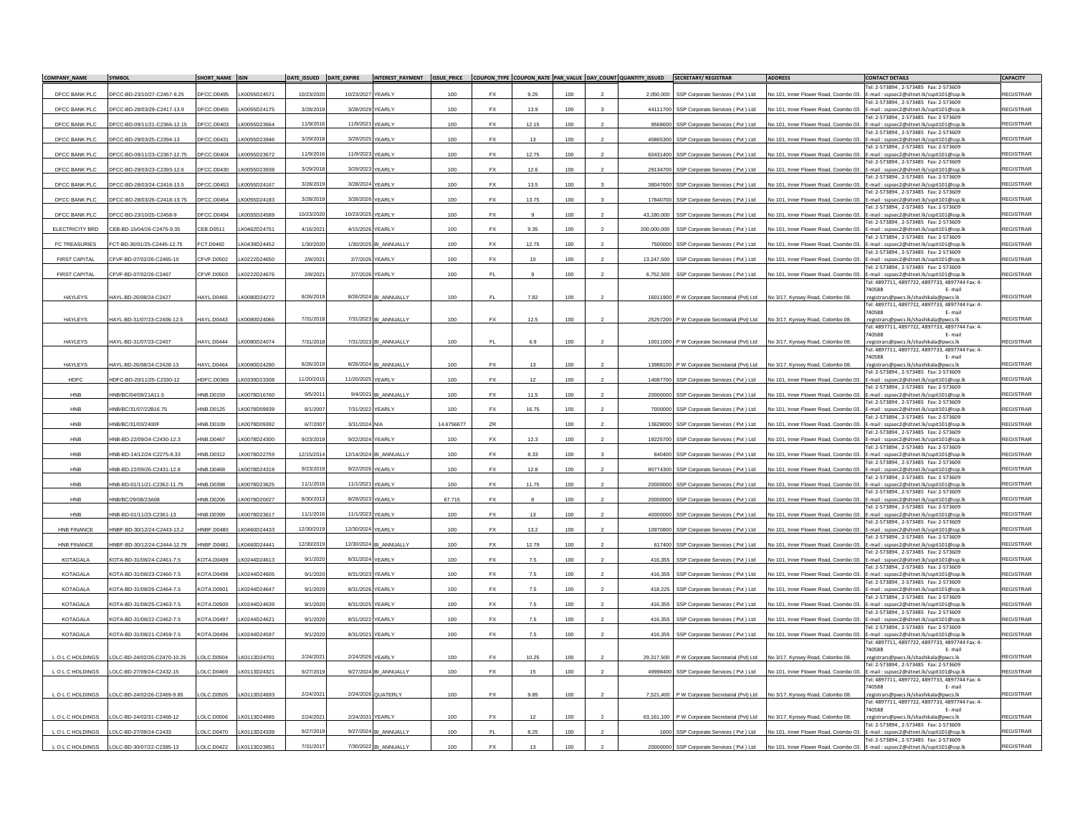| <b>COMPANY NAME</b>  | <b>SYMBOL</b>                                                                                                                                                                                                                                                                                                                                                                                                                                      | SHORT NAME ISIN   |              | DATE_ISSUED DATE_EXPIRE |                   |                        |            |                        |         |         |                |             | INTEREST_PAYMENT ISSUE_PRICE COUPON_TYPE COUPON_RATE PAR_VALUE DAY_COUNT QUANTITY_ISSUED SECRETARY/REGISTRAR | <b>ADDRESS</b>                        | <b>CONTACT DETAILS</b>                                                                                                      | <b>CAPACITY</b>  |
|----------------------|----------------------------------------------------------------------------------------------------------------------------------------------------------------------------------------------------------------------------------------------------------------------------------------------------------------------------------------------------------------------------------------------------------------------------------------------------|-------------------|--------------|-------------------------|-------------------|------------------------|------------|------------------------|---------|---------|----------------|-------------|--------------------------------------------------------------------------------------------------------------|---------------------------------------|-----------------------------------------------------------------------------------------------------------------------------|------------------|
| DFCC BANK PLC        | DFCC-BD-23/10/27-C2457-9.25                                                                                                                                                                                                                                                                                                                                                                                                                        | DFCC.D0495        | LK0055D24571 | 10/23/202               | 10/23/2027        | YEARLY                 | 100        | <b>FX</b>              | 9.25    | 100     |                | 2.050.000   | SSP Corporate Services (Pvt ) Ltd                                                                            | No 101, Inner Flower Road, Coombo 03. | Tel: 2-573894, 2-573485 Fax: 2-573609<br>E-mail:sspsec2@sltnet.lk/sspit101@ssp.lk                                           | <b>REGISTRAR</b> |
| DECC BANK PLC        | DECC-BD-28/03/29-C2417-13.9                                                                                                                                                                                                                                                                                                                                                                                                                        | DECC D0455        | K0055D24175  | 3/28/2019               | 3/28/2029 YFARI Y |                        | 100        | <b>FX</b>              | 13.9    | $100 -$ | $\mathbf{z}$   | 44111700    | SSP Corporate Services (Pvt ) Ltd                                                                            |                                       | Tel: 2-573894.2-573485 Fax: 2-573609<br>No 101, Inner Flower Road, Coombo 03. E-mail: sspsec2@sltnet.lk/sspit101@ssp.lk     | <b>REGISTRAR</b> |
|                      |                                                                                                                                                                                                                                                                                                                                                                                                                                                    |                   |              |                         | 11/9/2021 YFARI Y |                        |            | <b>FX</b>              |         |         |                |             |                                                                                                              |                                       | Tel: 2-573894, 2-573485 Fax: 2-573609                                                                                       | <b>REGISTRAR</b> |
| DFCC BANK PLC        | DFCC-BD-09/11/21-C2366-12.15                                                                                                                                                                                                                                                                                                                                                                                                                       | DFCC.D0403        | LK0055D23664 | 11/9/2016               |                   |                        | 100        |                        | 12.15   | 100     |                | 9568600     | SSP Corporate Services (Pvt ) Ltd                                                                            |                                       | No 101. Inner Flower Road, Coombo 03. E-mail: sspsec2@sltnet.lk/sspit101@ssp.lk<br>Tel: 2-573894. 2-573485 Fax: 2-573609    |                  |
| DFCC BANK PLC        | DFCC-BD-29/03/25-C2394-13                                                                                                                                                                                                                                                                                                                                                                                                                          | DFCC.D0431        | K0055D23946  | 3/29/2018               | 3/29/2025 YEARLY  |                        | 100        | FX                     | 13      | 100     |                | 40865300    | SSP Corporate Services (Pvt) Ltd                                                                             | No 101, Inner Flower Road, Coombo 03. | E-mail:sspsec2@sltnet.lk/sspit101@ssp.lk<br>Tel: 2-573894, 2-573485 Fax: 2-573609                                           | <b>REGISTRAR</b> |
| DFCC BANK PLC        | DFCC-BD-09/11/23-C2367-12.75                                                                                                                                                                                                                                                                                                                                                                                                                       | DFCC.D0404        | LK0055D23672 | 11/9/2016               | 11/9/2023 YEARLY  |                        | 100        | <b>FX</b>              | 12.75   | 100     |                | 60431400    | SSP Corporate Services (Pvt) Ltd                                                                             | No 101, Inner Flower Road, Coombo 03. | E-mail:sspsec2@sltnet.lk/sspit101@ssp.lk<br>Tel: 2-573894, 2-573485    Fax: 2-573609                                        | <b>REGISTRAR</b> |
| DFCC BANK PLC        | DFCC-BD-29/03/23-C2393-12.6                                                                                                                                                                                                                                                                                                                                                                                                                        | DFCC.D0430        | LK0055D23938 | 3/29/2018               | 3/29/2023 YEARLY  |                        | 100        | <b>FX</b>              | 12.6    | 100     |                |             | 29134700 SSP Corporate Services (Pvt ) Ltd                                                                   |                                       | No 101, Inner Flower Road, Coombo 03. E-mail: sspsec2@sltnet.lk/sspit101@ssp.lk                                             | <b>REGISTRAR</b> |
| DFCC BANK PLC        | DFCC-BD-28/03/24-C2416-13.5                                                                                                                                                                                                                                                                                                                                                                                                                        | DFCC.D0453        | LK0055D24167 | 3/28/2019               | 3/28/2024 YFARI Y |                        | 100        | <b>FX</b>              | 13.5    | $100 -$ |                | 38047600    | SSP Corporate Services (Pvt) Ltd                                                                             | No 101. Inner Flower Road. Coombo 03. | Tel: 2-573894. 2-573485 Fax: 2-573609<br>E-mail:sspsec2@sltnet.lk/sspit101@ssp.lk                                           | <b>REGISTRAR</b> |
| DFCC BANK PLC        | DFCC-BD-28/03/26-C2418-13.75                                                                                                                                                                                                                                                                                                                                                                                                                       | DFCC.D0454        | LK0055D24183 | 3/28/2019               | 3/28/2026 YEARLY  |                        | 100        | <b>FX</b>              | 13.75   | 100     |                | 17840700    | SSP Corporate Services (Pvt) Ltd                                                                             |                                       | Tel: 2-573894, 2-573485 Fax: 2-573609<br>No 101, Inner Flower Road, Coombo 03. E-mail : sspsec2@sltnet.lk/sspit101@ssp.lk   | <b>REGISTRAR</b> |
| DFCC BANK PLC        | DFCC-BD-23/10/25-C2458-9                                                                                                                                                                                                                                                                                                                                                                                                                           | DFCC.D0494        | LK0055D24589 | 10/23/2020              | 10/23/2025 YEARLY |                        | 100        | FX                     | 9       | 100     | $\mathcal{P}$  | 43,180,000  | SSP Corporate Services (Pvt) Ltd                                                                             |                                       | Tel: 2-573894, 2-573485 Fax: 2-573609<br>No 101, Inner Flower Road, Coombo 03. E-mail: sspsec2@sltnet.lk/sspit101@ssp.ll    | <b>REGISTRAR</b> |
|                      |                                                                                                                                                                                                                                                                                                                                                                                                                                                    |                   |              | 4/16/2021               | 4/15/2026 YFARI Y |                        | 100        | <b>FX</b>              | 9.35    | $100 -$ |                |             |                                                                                                              |                                       | Tel: 2-573894, 2-573485 Fax: 2-573609                                                                                       | <b>REGISTRAR</b> |
| ELECTRICITY BRD      | EB-BD-15/04/26-C2475-9.35                                                                                                                                                                                                                                                                                                                                                                                                                          | CEB.D0511         | K0462D24751  |                         |                   |                        |            |                        |         |         |                | 200,000,000 | SSP Corporate Services (Pvt) Ltd                                                                             | No 101, Inner Flower Road, Coombo 03. | E-mail:sspsec2@sltnet.lk/sspit101@ssp.lk<br>Tel: 2-573894, 2-573485 Fax: 2-573609                                           |                  |
| <b>FC TREASURIES</b> | FCT-BD-30/01/25-C2445-12.75                                                                                                                                                                                                                                                                                                                                                                                                                        | CT.D0482          | LK0439D24452 | 1/30/2020               |                   | 1/30/2025 BI ANNUALLY  | 100        | <b>FX</b>              | 12.75   | 100     |                | 7500000     | SSP Corporate Services (Pvt) Ltd                                                                             |                                       | No 101, Inner Flower Road, Coombo 03. E-mail : sspsec2@sltnet.lk/sspit101@ssp.lk<br>Tel: 2-573894 .2-573485 . Fax: 2-573609 | <b>REGISTRAR</b> |
| <b>FIRST CAPITAL</b> | CFVF-BD-07/02/26-C2465-10                                                                                                                                                                                                                                                                                                                                                                                                                          | CFVF.D0502        | K0222D24650  | 2/8/2021                |                   | 2/7/2026 YEARLY        | 100        | FX                     | 10      | 100     |                | 13,247,500  | SSP Corporate Services (Pvt) Ltd                                                                             |                                       | No 101, Inner Flower Road, Coombo 03. E-mail: sspsec2@sltnet.lk/sspit101@ssp.lk<br>Fel: 2-573894.2-573485 Fax: 2-573609     | <b>REGISTRAR</b> |
| <b>FIRST CAPITAL</b> | CFVF-BD-07/02/26-C2467                                                                                                                                                                                                                                                                                                                                                                                                                             | CFVF.D0503        | K0222D24676  | 2/8/2021                |                   | 2/7/2026 YEARLY        | 100        | EL.                    |         | 100     |                | 6.752.500   | SSP Corporate Services (Pvt ) Ltd                                                                            | No 101, Inner Flower Road, Coombo 03, | E-mail: sspsec2@sltnet.lk/sspit101@ssp.lk                                                                                   | <b>REGISTRAR</b> |
|                      |                                                                                                                                                                                                                                                                                                                                                                                                                                                    |                   |              |                         |                   |                        |            |                        |         |         |                |             |                                                                                                              |                                       | Tel: 4897711, 4897722, 4897733, 4897744 Fax: 4-<br>740588<br>E-mail                                                         |                  |
| <b>HAYLEYS</b>       | HAYL-BD-26/08/24-C2427                                                                                                                                                                                                                                                                                                                                                                                                                             | <b>HAYL.D0465</b> | LK0080D24272 | 8/26/2019               |                   | 8/26/2024 BI_ANNUALLY  | 100        | FL.                    | 7.82    | 100     | $\overline{2}$ |             | 16011900 P W Corporate Secretarial (Pvt) Ltd                                                                 | No 3/17. Kynsey Road, Colombo 08      | :registrars@pwcs.lk/shashikala@pwcs.lk<br>Tel: 4897711, 4897722, 4897733, 4897744 Fax: 4-                                   | <b>REGISTRAR</b> |
| HAYLEYS              | HAYL-BD-31/07/23-C2406-12.5                                                                                                                                                                                                                                                                                                                                                                                                                        | HAYL.D0443        | LK0080D24066 | 7/31/2018               |                   | 7/31/2023 BI ANNUALLY  | 100        | <b>FX</b>              | 12.5    | 100     |                |             | 25257200 P W Corporate Secretarial (Pvt) Ltd                                                                 | No 3/17, Kynsey Road, Colombo 08      | 740588<br>E-mail<br>:registrars@pwcs.lk/shashikala@pwcs.lk                                                                  | <b>REGISTRAR</b> |
|                      |                                                                                                                                                                                                                                                                                                                                                                                                                                                    |                   |              |                         |                   |                        |            |                        |         |         |                |             |                                                                                                              |                                       | Tel: 4897711, 4897722, 4897733, 4897744 Fax: 4-                                                                             |                  |
| <b>HAYLEYS</b>       | HAYL-BD-31/07/23-C2407                                                                                                                                                                                                                                                                                                                                                                                                                             | HAYL.D0444        | LK0080D24074 | 7/31/2018               |                   | 7/31/2023 BI ANNUALLY  | 100        | FL.                    | 6.9     | 100     |                |             | 10011000 P W Corporate Secretarial (Pvt) Ltd                                                                 | No 3/17, Kynsey Road, Colombo 08,     | 740588<br>E-mail<br>:registrars@pwcs.lk/shashikala@pwcs.lk                                                                  | <b>REGISTRAR</b> |
|                      |                                                                                                                                                                                                                                                                                                                                                                                                                                                    |                   |              |                         |                   |                        |            |                        |         |         |                |             |                                                                                                              |                                       | Tel: 4897711, 4897722, 4897733, 4897744 Fax: 4-<br>740588<br>E-mail                                                         |                  |
| HAYLEYS              | HAYL-BD-26/08/24-C2428-13                                                                                                                                                                                                                                                                                                                                                                                                                          | HAYL.D0464        | LK0080D24280 | 8/26/2019               |                   | 8/26/2024 BI_ANNUALLY  | 100        | FX                     | 13      | 100     |                |             | 13988100 P W Corporate Secretarial (Pvt) Ltd                                                                 | No 3/17, Kynsey Road, Colombo 08.     | :registrars@pwcs.lk/shashikala@pwcs.lk<br>Tel: 2-573894 . 2-573485   Fax: 2-573609                                          | <b>REGISTRAR</b> |
| <b>HDFC</b>          | IDFC-BD-20/11/25-C2330-12                                                                                                                                                                                                                                                                                                                                                                                                                          | IDFC.D0369        | K0339D23308  | 11/20/2015              | 11/20/2025 YEARLY |                        | 100        | FX                     | 12      | 100     |                | 14087700    | SSP Corporate Services (Pvt) Ltd                                                                             | No 101, Inner Flower Road, Coombo 03. | E-mail: sspsec2@sltnet.lk/sspit101@ssp.lk                                                                                   | <b>REGISTRAR</b> |
| <b>HNB</b>           | INB/BC/04/09/21A11.5                                                                                                                                                                                                                                                                                                                                                                                                                               | HNB.D0159         | K0078D16760  | 9/5/201                 | 9/4/2021          | <b>BI_ANNUALLY</b>     | 100        | <b>FX</b>              | 11.5    | 100     |                | 20000000    | SSP Corporate Services (Pvt) Ltd                                                                             | No 101, Inner Flower Road, Coombo 03. | Tel: 2-573894, 2-573485 Fax: 2-573609<br>E-mail:sspsec2@sltnet.lk/sspit101@ssp.lk                                           | <b>REGISTRAR</b> |
| HNB                  | INB/BC/31/07/22B16.75                                                                                                                                                                                                                                                                                                                                                                                                                              | INB.D0125         | LK0078D09939 | 8/1/2007                | 7/31/2022 YEARLY  |                        | 100        | <b>FX</b>              | 16.75   | 100     |                | 7000000     | SSP Corporate Services (Pvt) Ltd                                                                             |                                       | Tel: 2-573894, 2-573485 Fax: 2-573609<br>No 101, Inner Flower Road, Coombo 03. E-mail : sspsec2@sltnet.lk/sspit101@ssp.lk   | <b>REGISTRAR</b> |
| <b>HNB</b>           | INB/BC/31/03/2400F                                                                                                                                                                                                                                                                                                                                                                                                                                 | INB.D0109         | K0078D09392  | 6/7/2007                | 3/31/2024 N/A     |                        | 14.6756677 | ZR                     |         | 100     |                | 13628000    | SSP Corporate Services (Pvt) Ltd                                                                             | No 101, Inner Flower Road, Coombo 03  | Tel: 2-573894.2-573485 Fax: 2-573609<br>E-mail:sspsec2@sltnet.lk/sspit101@ssp.lk                                            | <b>REGISTRAR</b> |
|                      |                                                                                                                                                                                                                                                                                                                                                                                                                                                    |                   |              | 9/23/2019               |                   |                        |            |                        |         |         |                |             |                                                                                                              |                                       | Tel: 2-573894, 2-573485 Fax: 2-573609                                                                                       | <b>REGISTRAR</b> |
| HNB                  | INB-BD-22/09/24-C2430-12.3                                                                                                                                                                                                                                                                                                                                                                                                                         | <b>HNB.D0467</b>  | LK0078D24300 |                         | 9/22/2024 YEARLY  |                        | 100        | $\mathsf{F}\mathsf{X}$ | 12.3    | 100     |                | 19225700    | SSP Corporate Services (Pvt) Ltd                                                                             | No 101. Inner Flower Road, Coombo 03. | E-mail: sspsec2@sltnet.lk/sspit101@ssp.lk<br>Tel: 2-573894, 2-573485 Fax: 2-573609                                          |                  |
| <b>HNB</b>           | INB-BD-14/12/24-C2275-8.33                                                                                                                                                                                                                                                                                                                                                                                                                         | INB.D0312         | LK0078D22759 | 12/15/2014              |                   | 12/14/2024 BI_ANNUALLY | 100        | <b>FX</b>              | 8.33    | 100     |                | 840400      | SSP Corporate Services (Pvt) Ltd                                                                             |                                       | No 101, Inner Flower Road, Coombo 03. E-mail : sspsec2@sltnet.lk/sspit101@ssp.lk<br>Tel: 2-573894, 2-573485 Fax: 2-573609   | <b>REGISTRAR</b> |
| <b>HNB</b>           | INB-BD-22/09/26-C2431-12.8                                                                                                                                                                                                                                                                                                                                                                                                                         | INB D0468         | K0078D24318  | 9/23/2019               | 9/22/2026 YFARI Y |                        | 100        | <b>FX</b>              | 12.8    | $100 -$ |                | 80774300    | SSP Corporate Services (Pvt) Ltd                                                                             | No 101, Inner Flower Road, Coombo 03  | E-mail:sspsec2@sltnet.lk/sspit101@ssp.lk<br>Tel: 2-573894, 2-573485 Fax: 2-573609                                           | <b>REGISTRAR</b> |
| HNB                  | HNB-BD-01/11/21-C2362-11.75                                                                                                                                                                                                                                                                                                                                                                                                                        | INB.D0398         | LK0078D23625 | 11/1/2016               | 11/1/2021         | YEARLY                 | 100        | FX                     | 11.75   | 100     |                | 20000000    | SSP Corporate Services (Pvt) Ltd                                                                             |                                       | No 101, Inner Flower Road, Coombo 03. E-mail: sspsec2@sltnet.lk/sspit101@ssp.lk                                             | <b>REGISTRAR</b> |
| <b>HNB</b>           | HNB/BC/29/08/23A08                                                                                                                                                                                                                                                                                                                                                                                                                                 | HNB.D0206         | K0078D20027  | 8/30/2013               | 8/29/2023 YEARLY  |                        | 67.715     | <b>FX</b>              |         | 100     |                | 20000000    | SSP Corporate Services (Pvt) Ltd                                                                             |                                       | Tel: 2-573894. 2-573485 Fax: 2-573609<br>No 101, Inner Flower Road, Coombo 03. E-mail: sspsec2@sltnet.lk/sspit101@ssp.lk    | <b>REGISTRAR</b> |
| <b>HNB</b>           | INB-BD-01/11/23-C2361-13                                                                                                                                                                                                                                                                                                                                                                                                                           | INB.D0399         | LK0078D23617 | 11/1/2016               | 11/1/2023 YEARLY  |                        | 100        | <b>FX</b>              | 13      | 100     | $\overline{2}$ | 40000000    | SSP Corporate Services (Pvt) Ltd                                                                             | No 101, Inner Flower Road, Coombo 03, | Tel: 2-573894, 2-573485 Fax: 2-573609<br>E-mail: sspsec2@sltnet.lk/sspit101@ssp.lk                                          | <b>REGISTRAR</b> |
| <b>HNB FINANCE</b>   | INBF-BD-30/12/24-C2443-13.2                                                                                                                                                                                                                                                                                                                                                                                                                        | INBF.D0480        | LK0460D24433 | 12/30/2019              | 12/30/2024        | YEARLY                 | 100        | <b>FX</b>              | 13.2    | 100     |                | 1097080     | SSP Corporate Services (Pvt) Ltd                                                                             | No 101, Inner Flower Road, Coombo 03. | Tel: 2-573894, 2-573485 Fax: 2-573609<br>E-mail:sspsec2@sltnet.lk/sspit101@ssp.lk                                           | <b>REGISTRAR</b> |
| HNB FINANCE          |                                                                                                                                                                                                                                                                                                                                                                                                                                                    | HNBF D0481        |              | 12/30/2019              |                   |                        |            | <b>FX</b>              |         | $100 -$ |                |             |                                                                                                              |                                       | Tel: 2-573894, 2-573485 Fax: 2-573609                                                                                       | <b>REGISTRAR</b> |
|                      | INBF-BD-30/12/24-C2444-12.79                                                                                                                                                                                                                                                                                                                                                                                                                       |                   | LK0460D24441 |                         |                   | 12/30/2024 BI ANNUALLY | 100        |                        | 12.79   |         |                | 617400      | SSP Corporate Services (Pvt ) Ltd                                                                            | No 101, Inner Flower Road, Coombo 03. | E-mail:sspsec2@sltnet.lk/sspit101@ssp.lk<br>Tel: 2-573894, 2-573485 Fax: 2-573609                                           |                  |
| <b>KOTAGALA</b>      | KOTA-BD-31/08/24-C2461-7.5                                                                                                                                                                                                                                                                                                                                                                                                                         | KOTA.D0499        | K0244D24613  | 9/1/2020                | 8/31/2024 YEARLY  |                        | 100        | FX                     | 7.5     | 100     |                | 416.355     | SSP Corporate Services (Pvt ) Ltd                                                                            |                                       | No 101, Inner Flower Road, Coombo 03. E-mail: sspsec2@sltnet.lk/sspit101@ssp.lk<br>Tel: 2-573894, 2-573485 Fax: 2-573609    | <b>REGISTRAR</b> |
| KOTAGALA             | <0TA-BD-31/08/23-C2460-7.5                                                                                                                                                                                                                                                                                                                                                                                                                         | KOTA.D0498        | LK0244D24605 | 9/1/202                 | 8/31/2023 YEARLY  |                        | 100        | FX                     | $7.5\,$ | 100     |                | 416,355     | SSP Corporate Services (Pvt) Ltd                                                                             | Vo 101, Inner Flower Road, Coombo 03. | E-mail:sspsec2@sltnet.lk/sspit101@ssp.lk<br>Tel: 2-573894, 2-573485 Fax: 2-573609                                           | <b>REGISTRAR</b> |
| <b>KOTAGALA</b>      | KOTA-BD-31/08/26-C2464-7.5                                                                                                                                                                                                                                                                                                                                                                                                                         | <b>KOTA.D0501</b> | LK0244D24647 | 9/1/2020                | 8/31/2026 YEARLY  |                        | 100        | <b>FX</b>              | 7.5     | 100     |                | 418.225     | SSP Corporate Services (Pvt ) Ltd                                                                            |                                       | No 101. Inner Flower Road, Coombo 03. E-mail: sspsec2@sltnet.lk/sspit101@ssp.lk                                             | <b>REGISTRAR</b> |
| KOTAGALA             | KOTA-BD-31/08/25-C2463-7.5                                                                                                                                                                                                                                                                                                                                                                                                                         | <b>KOTA.D0500</b> | LK0244D24639 | 9/1/2020                | 8/31/2025 YEARLY  |                        | 100        | <b>FX</b>              | 7.5     | 100     |                | 416.355     | SSP Corporate Services (Pvt) Ltd                                                                             |                                       | Tel: 2-573894, 2-573485 Fax: 2-573609<br>No 101, Inner Flower Road, Coombo 03. E-mail: sspsec2@sltnet.lk/sspit101@ssp.lk    | REGISTRAR        |
| <b>KOTAGALA</b>      | <ota-bd-31 08="" 22-c2462-7.5<="" td=""><td><b>KOTA,D0497</b></td><td>K0244D24621</td><td>9/1/2020</td><td>8/31/2022 YFARI Y</td><td></td><td>100</td><td><b>FX</b></td><td>7.5</td><td>100</td><td></td><td>416.355</td><td>SSP Corporate Services (Pvt) Ltd</td><td>No 101, Inner Flower Road, Coombo 03.</td><td>Tel: 2-573894 .2-573485 . Fax: 2-573609<br/>E-mail:sspsec2@sltnet.lk/sspit101@ssp.lk</td><td><b>REGISTRAR</b></td></ota-bd-31> | <b>KOTA,D0497</b> | K0244D24621  | 9/1/2020                | 8/31/2022 YFARI Y |                        | 100        | <b>FX</b>              | 7.5     | 100     |                | 416.355     | SSP Corporate Services (Pvt) Ltd                                                                             | No 101, Inner Flower Road, Coombo 03. | Tel: 2-573894 .2-573485 . Fax: 2-573609<br>E-mail:sspsec2@sltnet.lk/sspit101@ssp.lk                                         | <b>REGISTRAR</b> |
| <b>KOTAGALA</b>      | KOTA-BD-31/08/21-C2459-7.5                                                                                                                                                                                                                                                                                                                                                                                                                         | <b>KOTA,D0496</b> | LK0244D24597 | 9/1/2020                | 8/31/2021 YEARLY  |                        | 100        | <b>FX</b>              | 7.5     | 100     |                | 416,355     | SSP Corporate Services (Pvt) Ltd                                                                             |                                       | Tel: 2-573894.2-573485 Fax: 2-573609<br>No 101, Inner Flower Road, Coombo 03. E-mail : sspsec2@sltnet.lk/sspit101@ssp.lk    | <b>REGISTRAR</b> |
|                      |                                                                                                                                                                                                                                                                                                                                                                                                                                                    |                   |              |                         |                   |                        |            |                        |         |         |                |             |                                                                                                              |                                       | Tel: 4897711, 4897722, 4897733, 4897744 Fax: 4-                                                                             |                  |
| LOLCHOLDINGS         | OLC-BD-24/02/26-C2470-10.25                                                                                                                                                                                                                                                                                                                                                                                                                        | LOLC.D0504        | LK0113D24701 | 2/24/2021               | 2/24/2026 YEARLY  |                        | 100        | FX                     | 10.25   | 100     |                | 29.317.500  | P W Corporate Secretarial (Pvt) Ltd                                                                          | No 3/17. Kynsey Road, Colombo 08.     | 740588<br>E-mail<br>:registrars@pwcs.lk/shashikala@pwcs.lk                                                                  | <b>REGISTRAR</b> |
| LOLCHOLDINGS         | OLC-BD-27/09/24-C2432-15                                                                                                                                                                                                                                                                                                                                                                                                                           | OLC.D0469         | LK0113D24321 | 9/27/2019               |                   | 9/27/2024 BI_ANNUALLY  | 100        | <b>FX</b>              | 15      | 100     |                | 49998400    | SSP Corporate Services (Pvt) Ltd                                                                             |                                       | Tel: 2-573894, 2-573485 Fax: 2-573609<br>No 101, Inner Flower Road, Coombo 03. E-mail: sspsec2@sltnet.lk/sspit101@ssp.lk    | <b>REGISTRAR</b> |
|                      |                                                                                                                                                                                                                                                                                                                                                                                                                                                    |                   |              |                         |                   |                        |            |                        |         |         |                |             |                                                                                                              |                                       | Tel: 4897711, 4897722, 4897733, 4897744 Fax: 4-<br>740588<br>F-mail                                                         |                  |
| L O L C HOLDINGS     | LOLC-BD-24/02/26-C2469-9.85                                                                                                                                                                                                                                                                                                                                                                                                                        | LOLC.D0505        | LK0113D24693 | 2/24/2021               |                   | 2/24/2026 QUATERLY     | 100        | FX                     | 9.85    | 100     |                |             | 7,521,400 P W Corporate Secretarial (Pvt) Ltd                                                                | No 3/17, Kynsey Road, Colombo 08.     | :registrars@pwcs.lk/shashikala@pwcs.lk                                                                                      | <b>REGISTRAR</b> |
|                      |                                                                                                                                                                                                                                                                                                                                                                                                                                                    |                   |              |                         |                   |                        |            |                        |         |         |                |             |                                                                                                              |                                       | Tel: 4897711, 4897722, 4897733, 4897744 Fax: 4-<br>740588<br>E-mail                                                         |                  |
| LOLCHOLDINGS         | LOLC-BD-24/02/31-C2468-12                                                                                                                                                                                                                                                                                                                                                                                                                          | LOLC.D0506        | LK0113D24685 | 2/24/202                | 2/24/2031 YEARLY  |                        | 100        | <b>FX</b>              | 12      | 100     |                |             | 63,161,100 P W Corporate Secretarial (Pvt) Ltd                                                               | No 3/17, Kynsey Road, Colombo 08      | :registrars@pwcs.lk/shashikala@pwcs.lk<br>Fel: 2-573894, 2-573485 Fax: 2-57360!                                             | <b>REGISTRAR</b> |
| L O L C HOLDINGS     | LOLC-BD-27/09/24-C2433                                                                                                                                                                                                                                                                                                                                                                                                                             | LOLC.D0470        | LK0113D24339 | 9/27/2019               |                   | 9/27/2024 BI_ANNUALLY  | 100        | FL.                    | 8.25    | 100     |                |             | 1600 SSP Corporate Services (Pvt ) Ltd                                                                       | No 101. Inner Flower Road. Coombo 03. | E-mail: sspsec2@sltnet.lk/sspit101@ssp.lk<br>Tel: 2-573894, 2-573485 Fax: 2-573609                                          | <b>REGISTRAR</b> |
| LOLCHOLDINGS         | LOLC-BD-30/07/22-C2385-13                                                                                                                                                                                                                                                                                                                                                                                                                          | OLC.D0422         | LK0113D23851 | 7/31/2017               | 7/30/2022         | ANNUALLY               | 100        | <b>FX</b>              | 13      | 100     |                | 20000000    | SSP Corporate Services (Pvt ) Ltd                                                                            | No 101. Inner Flower Road, Coombo 0   | E-mail:sspsec2@sltnet.lk/sspit101@ssp.lk                                                                                    | <b>REGISTRAR</b> |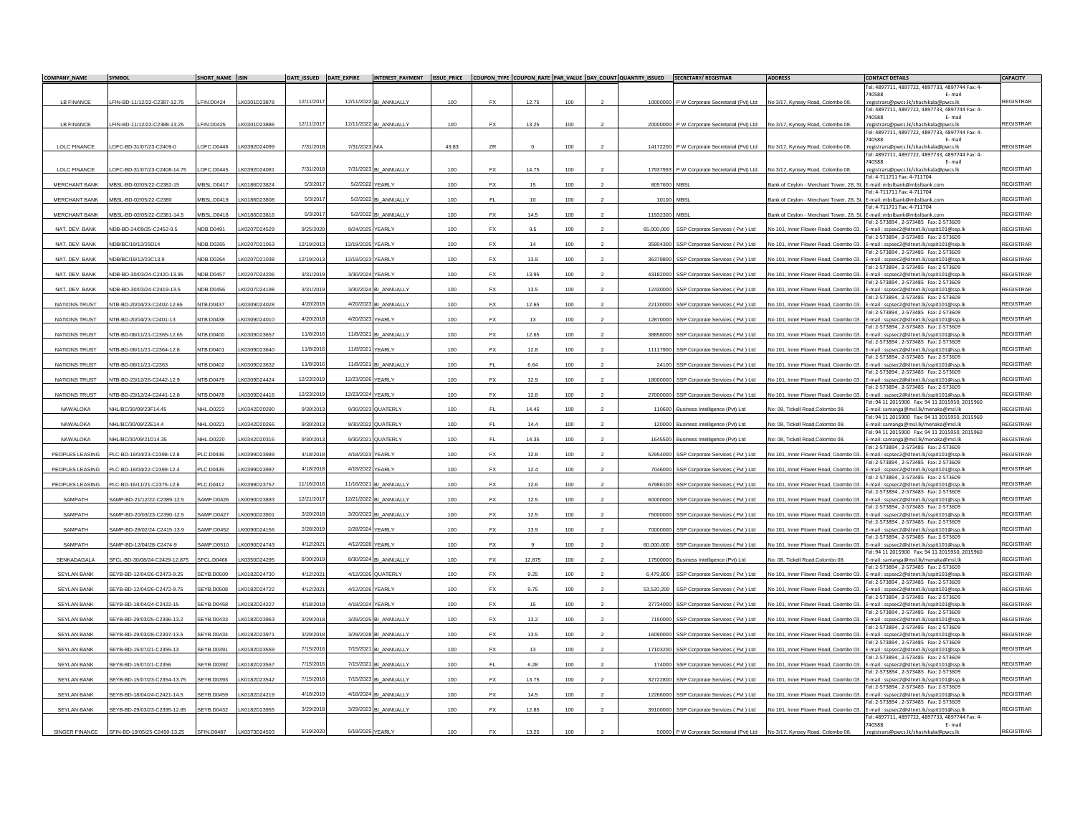| <b>COMPANY NAME</b>  | SYMBOL                       | SHORT NAME ISIN   |               | DATE_ISSUED DATE_EXPIRE          |                        |       |               |                  |         |            | INTEREST_PAYMENT ISSUE_PRICE COUPON_TYPE COUPON_RATE PAR_VALUE DAY_COUNT QUANTITY_ISSUED SECRETARY/REGISTRAR | <b>ADDRESS</b>                                                         | <b>CONTACT DETAILS</b>                                                                                                    | <b>CAPACITY</b>  |
|----------------------|------------------------------|-------------------|---------------|----------------------------------|------------------------|-------|---------------|------------------|---------|------------|--------------------------------------------------------------------------------------------------------------|------------------------------------------------------------------------|---------------------------------------------------------------------------------------------------------------------------|------------------|
|                      |                              |                   |               |                                  |                        |       |               |                  |         |            |                                                                                                              |                                                                        | Tel: 4897711, 4897722, 4897733, 4897744 Fax: 4-<br>40588                                                                  |                  |
| LB FINANCE           | FIN-BD-11/12/22-C2387-12 75  | FIN.D0424         | LK0301D23878  | 12/11/2017                       | 12/11/2022 BI_ANNUALLY | 100   | <b>FX</b>     | 12.75            | $100 -$ |            | 10000000 P W Corporate Secretarial (Pvt) Ltd                                                                 | No 3/17, Kynsey Road, Colombo 08                                       | :registrars@pwcs.lk/shashikala@pwcs.lk<br>Tel: 4897711, 4897722, 4897733, 4897744 Fax: 4-                                 | REGISTRAR        |
| <b>LB FINANCE</b>    | FIN-BD-11/12/22-C2388-13.25  | FIN.D0425         | K0301D23886   | 12/11/2017                       | 12/11/2022 BI_ANNUALLY | 100   | <b>FX</b>     | 13.25            | 100     | 20000000   | P W Corporate Secretarial (Pvt) Ltd                                                                          | No 3/17, Kynsey Road, Colombo 08                                       | 40588<br>E-mail<br>:registrars@pwcs.lk/shashikala@pwcs.lk                                                                 | REGISTRAR        |
|                      |                              |                   |               |                                  |                        |       |               |                  |         |            |                                                                                                              |                                                                        | Tel: 4897711, 4897722, 4897733, 4897744 Fax: 4-<br>740588<br>E-mail                                                       |                  |
| <b>LOLC FINANCE</b>  | OFC-BD-31/07/23-C2409-0      | OFC.D0446         | K0392D24099   | 7/31/201<br>7/31/2023 N/A        |                        | 49.83 | ZR            |                  | 100     |            | 14172200 P W Corporate Secretarial (Pvt) Ltd                                                                 | No 3/17, Kynsey Road, Colombo 08                                       | :registrars@pwcs.lk/shashikala@pwcs.lk<br>Tel: 4897711, 4897722, 4897733, 4897744 Fax: 4-                                 | <b>REGISTRAR</b> |
| <b>LOLC FINANCE</b>  | OFC-BD-31/07/23-C2408-14.75  | OFC.D0445         | K0392D24081   | 7/31/2018                        | 7/31/2023 BI ANNUALLY  | 100   | <b>FX</b>     | 14.75            | 100     | 17937993   | P W Corporate Secretarial (Pvt) Ltd                                                                          | No 3/17, Kynsey Road, Colombo 08                                       | 740588<br>E-mail<br>:registrars@pwcs.lk/shashikala@pwcs.lk                                                                | <b>REGISTRAR</b> |
| MERCHANT BANK        | MBSI-BD-02/05/22-C2382-15    | MBSI D0417        | I K0186D23824 | 5/3/2017                         | 5/2/2022 YFARI Y       | 100   | FX            | 15               | 100     | 8057600    | <b>MBSI</b>                                                                                                  | Bank of Ceylon - Merchant Tower, 28, St. E-mail: mhslhank@mhslhank.com | Tel: 4-711711 Fax: 4-711704                                                                                               | REGISTRAR        |
| <b>MERCHANT BANK</b> | MBSL-BD-02/05/22-C2380       | MBSL.D0419        | LK0186D23808  | 5/3/2017                         | 5/2/2022 BI_ANNUALLY   | 100   | FI.           | 10 <sub>10</sub> | 100     |            | 10100 MBSL                                                                                                   | 3ank of Cevlon - Merchant Tower, 28. St. E-mail: mbslbank@mbslbank.com | Tel: 4-711711 Fax: 4-711704                                                                                               | REGISTRAR        |
| <b>MERCHANT BANK</b> | MBSL-BD-02/05/22-C2381-14.5  | <b>MBSL.D0418</b> | LK0186D23816  | 5/3/2017                         | 5/2/2022 BI_ANNUALLY   | 100   | FX            | 14.5             | 100     | 11932300   | MBSL                                                                                                         | Bank of Cevlon - Merchant Tower. 28. St. E-mail: mbslbank@mbslbank.com | Tel: 4-711711 Fax: 4-711704                                                                                               | <b>REGISTRAR</b> |
|                      |                              |                   |               |                                  |                        |       |               |                  |         |            |                                                                                                              |                                                                        | Tel: 2-573894 .2-573485 . Fax: 2-573609                                                                                   |                  |
| NAT. DEV. BANK       | VDB-BD-24/09/25-C2452-9.5    | NDB.D0491         | K0207D24529   | 9/25/2020                        | 9/24/2025 YEARLY       | 100   | <b>FX</b>     | 9.5              | 100     |            | 65,000,000 SSP Corporate Services (Pvt ) Ltd                                                                 | No 101, Inner Flower Road, Coombo 03.                                  | E-mail:sspsec2@sltnet.lk/sspit101@ssp.lk<br>Tel: 2-573894, 2-573485 Fax: 2-573609                                         | <b>REGISTRAR</b> |
| NAT. DEV. BANK       | NDB/BC/19/12/25D14           | <b>NDB.D0265</b>  | K0207D21053   | 12/19/201<br>12/19/2025 YFARI Y  |                        | 100   | <b>FX</b>     | 14               | 100     |            | 35904300 SSP Corporate Services (Pvt ) Ltd                                                                   | No 101, Inner Flower Road, Coombo 03.                                  | E-mail: sspsec2@sltnet.lk/sspit101@ssp.lk<br>Tel: 2-573894.2-573485 Fax: 2-573609                                         | <b>REGISTRAR</b> |
| NAT. DEV. BANK       | NDB/BC/19/12/23C13.9         | <b>NDB.D0264</b>  | K0207D21038   | 12/19/2013<br>12/19/2023 YFARI Y |                        | 100   | <b>FX</b>     | 13.9             | $100 -$ | 36379800   | SSP Corporate Services (Pvt ) Ltd                                                                            | No 101, Inner Flower Road, Coombo 03.                                  | E-mail: sspsec2@sltnet.lk/sspit101@ssp.lk<br>Tel: 2-573894, 2-573485 Fax: 2-573609                                        | <b>REGISTRAR</b> |
| NAT. DEV. BANK       | NDB-BD-30/03/24-C2420-13.95  | <b>NDB.D0457</b>  | LK0207D24206  | 3/31/2019                        | 3/30/2024 YEARLY       | 100   | <b>FX</b>     | 13.95            | 100     |            | 43182000 SSP Corporate Services (Pvt ) Ltd                                                                   | No 101, Inner Flower Road, Coombo 03.                                  | E-mail: sspsec2@sltnet.lk/sspit101@ssp.lk<br>Tel: 2-573894, 2-573485 Fax: 2-573609                                        | REGISTRAR        |
| NAT. DEV. BANK       | NDB-BD-30/03/24-C2419-13.5   | NDB.D0456         | K0207D24198   | 3/31/201                         | 3/30/2024 BI_ANNUALLY  | 100   | FX            | 13.5             | 100     | 12430000   | SSP Corporate Services ( Pvt ) Ltd                                                                           | No 101, Inner Flower Road, Coombo 03.                                  | E-mail: sspsec2@sltnet.lk/sspit101@ssp.lk<br>Tel: 2-573894.2-573485 Fax: 2-573609                                         | REGISTRAR        |
| <b>NATIONS TRUST</b> | NTB-BD-20/04/23-C2402-12.65  | NTB.D0437         | LK0309D24028  | 4/20/201                         | 4/20/2023 BI_ANNUALLY  | 100   | <b>FX</b>     | 12.65            | $100 -$ |            | 22130000 SSP Corporate Services (Pvt ) Ltd                                                                   | No 101, Inner Flower Road, Coombo 03.                                  | E-mail:sspsec2@sltnet.lk/sspit101@ssp.lk                                                                                  | <b>REGISTRAR</b> |
| <b>NATIONS TRUST</b> | NTB-BD-20/04/23-C2401-13     | <b>NTB.D0438</b>  | K0309D24010   | 4/20/2018                        | 4/20/2023 YEARLY       | 100   | <b>FX</b>     | 13               | 100     |            | 12870000 SSP Corporate Services (Pvt ) Ltd                                                                   | No 101. Inner Flower Road, Coombo 03.                                  | Tel: 2-573894, 2-573485 Fax: 2-573609<br>E-mail: sspsec2@sltnet.lk/sspit101@ssp.lk                                        | <b>REGISTRAR</b> |
| <b>NATIONS TRUST</b> | NTB-BD-08/11/21-C2365-12.65  | NTB.D0400         | LK0309D23657  | 11/8/2016                        | 11/8/2021 BI ANNUALLY  | 100   | FX            | 12.65            | 100     | 38858000   | SSP Corporate Services (Pvt ) Ltd                                                                            | No 101. Inner Flower Road. Coombo 03.                                  | Tel: 2-573894, 2-573485 Fax: 2-573609<br>E-mail: sspsec2@sltnet.lk/sspit101@ssp.lk                                        | <b>REGISTRAR</b> |
| <b>NATIONS TRUST</b> | NTB-BD-08/11/21-C2364-12.8   | NTB.D0401         | LK0309D23640  | 11/8/2016                        | 11/8/2021 YEARLY       | 100   | FX            | 12.8             | 100     |            | 11117900 SSP Corporate Services (Pvt ) Ltd                                                                   |                                                                        | Tel: 2-573894. 2-573485 Fax: 2-573609<br>No 101, Inner Flower Road, Coombo 03. E-mail : sspsec2@sltnet.lk/sspit101@ssp.lk | <b>REGISTRAR</b> |
| NATIONS TRUST        | VTB-BD-08/11/21-C2363        | NTB.D0402         | K0309D23632   | 11/8/2016<br>11/8/2021           | <b>BI_ANNUALLY</b>     | 100   | $\mathsf{FL}$ | 6.64             | 100     | 24100      | SSP Corporate Services (Pvt) Ltd                                                                             | Vo 101, Inner Flower Road, Coombo 03                                   | Tel: 2-573894.2-573485 Fax: 2-573609<br>mail: sspsec2@sltnet.lk/sspit101@ssp.lk                                           | <b>REGISTRAR</b> |
| <b>NATIONS TRUST</b> | NTB-BD-23/12/26-C2442-12.9   | <b>NTB D0479</b>  | LK0309D24424  | 12/23/201<br>12/23/2026 YFARI Y  |                        | 100   | <b>FX</b>     | 12.9             | 100     | 18000000   | SSP Corporate Services (Pvt ) Ltd                                                                            | No 101, Inner Flower Road, Coombo 03,                                  | Tel: 2-573894.2-573485 Fax: 2-573609<br>E-mail:sspsec2@sltnet.lk/sspit101@ssp.lk                                          | REGISTRAR        |
|                      |                              |                   |               |                                  |                        |       |               |                  |         |            |                                                                                                              |                                                                        | Fel: 2-573894, 2-573485 Fax: 2-573609                                                                                     |                  |
| <b>NATIONS TRUST</b> | NTB-BD-23/12/24-C2441-12.8   | NTB.D0478         | K0309D24416   | 12/23/2019<br>12/23/2024 YEARLY  |                        | 100   | <b>FX</b>     | 12.8             | 100     | 27000000   | SSP Corporate Services (Pvt) Ltd                                                                             | No 101, Inner Flower Road, Coombo 03.                                  | E-mail: sspsec2@sltnet.lk/sspit101@ssp.lk<br>Tel: 94 11 2015900 Fax: 94 11 2015950, 2015960                               | REGISTRAR        |
| NAWALOKA             | NHL/BC/30/09/23F14.45        | <b>NHL.D0222</b>  | LK0342D20290  | 9/30/2013                        | 9/30/2023 QUATERLY     | 100   | FL.           | 14.45            | 100     |            | 110600 Business Intelligence (Pvt) Ltd                                                                       | No: 08. Tickell Road.Colombo 08                                        | :-mail: samanga@msl.lk/menaka@msl.lk<br>Tel: 94 11 2015900 Fax: 94 11 2015950, 2015960                                    | REGISTRAR        |
| NAWALOKA             | VHL/BC/30/09/22E14.4         | <b>IHL.D0221</b>  | K0342D20266   | 9/30/2013                        | 9/30/2022 QUATERLY     | 100   | FI.           | 14.4             | 100     |            | 120000 Business Intelligence (Pvt) Ltd                                                                       | Vo: 08, Tickell Road, Colombo 08                                       | E-mail: samanga@msl.lk/menaka@msl.lk<br>Tel: 94 11 2015900 Fax: 94 11 2015950, 2015960                                    | <b>REGISTRAR</b> |
| NAWALOKA             | NHL/BC/30/09/21D14.35        | <b>NHL.D0220</b>  | K0342D20316   | 9/30/201                         | 9/30/2021 QUATERLY     | 100   | FL.           | 14.35            | 100     |            | 1645500 Business Intelligence (Pvt) Ltd                                                                      | No: 08, Tickell Road, Colombo 08                                       | E-mail: samanga@msl.lk/menaka@msl.lk<br>Tel: 2-573894, 2-573485 Fax: 2-573609                                             | <b>REGISTRAR</b> |
| PEOPLES LEASING      | PLC-BD-18/04/23-C2398-12.8   | PLC.D0436         | LK0399D23989  | 4/18/2018                        | 4/18/2023 YFARI Y      | 100   | <b>FX</b>     | 12.8             | $100 -$ |            | 52954000 SSP Corporate Services (Pvt ) Ltd                                                                   | No 101, Inner Flower Road, Coombo 03.                                  | E-mail:sspsec2@sltnet.lk/sspit101@ssp.lk<br>Tel: 2-573894, 2-573485 Fax: 2-573609                                         | REGISTRAR        |
| PEOPLES LEASING      | PLC-BD-18/04/22-C2399-12.4   | PLC.D0435         | LK0399D23997  | 4/18/2018                        | 4/18/2022 YFARI Y      | 100   | <b>FX</b>     | 12.4             | 100     |            | 7046000 SSP Corporate Services (Pvt ) Ltd                                                                    | No 101, Inner Flower Road, Coombo 03.                                  | E-mail:sspsec2@sltnet.lk/sspit101@ssp.lk                                                                                  | REGISTRAR        |
| PEOPLES LEASING      | PLC-BD-16/11/21-C2375-12.6   | PLC.D0412         | LK0399D23757  | 11/16/201<br>11/16/2021          | <b>BI_ANNUALLY</b>     | 100   | FX            | 12.6             | 100     | 67986100   | SSP Corporate Services (Pvt) Ltd                                                                             | No 101, Inner Flower Road, Coombo 03.                                  | Tel: 2-573894, 2-573485 Fax: 2-573609<br>E-mail:sspsec2@sltnet.lk/sspit101@ssp.lk                                         | <b>REGISTRAR</b> |
| SAMPATH              | SAMP-BD-21/12/22-C2389-12.5  | SAMP.D0426        | LK0090D23893  | 12/21/2011                       | 12/21/2022 BI_ANNUALLY | 100   | <b>FX</b>     | 12.5             | 100     |            | 60000000 SSP Corporate Services (Pvt ) Ltd                                                                   | No 101, Inner Flower Road, Coombo 03                                   | Tel: 2-573894.2-573485 Fax: 2-573609<br>E-mail: sspsec2@sltnet.lk/sspit101@ssp.lk                                         | <b>REGISTRAR</b> |
| SAMPATH              | SAMP-BD-20/03/23-C2390-12.5  | <b>SAMP.D0427</b> | LK0090D23901  | 3/20/2018                        | 3/20/2023 BI ANNUALLY  | 100   | <b>FX</b>     | 12.5             | 100     | 75000000   | SSP Corporate Services (Pvt) Ltd                                                                             | No 101, Inner Flower Road, Coombo 03                                   | Tel: 2-573894, 2-573485 Fax: 2-573609<br>E-mail: sspsec2@sltnet.lk/sspit101@ssp.lk                                        | REGISTRAR        |
| SAMPATH              | SAMP-BD-28/02/24-C2415-13.9  | <b>SAMP.D0452</b> | LK0090D24156  | 2/28/201                         | 2/28/2024 YEARLY       | 100   | FX            | 13.9             | 100     | 70000000   | SSP Corporate Services (Pvt) Ltd                                                                             | No 101, Inner Flower Road, Coombo 03.                                  | Tel: 2-573894, 2-573485 Fax: 2-573609<br>E-mail: sspsec2@sltnet.lk/sspit101@ssp.lk                                        | REGISTRAR        |
| SAMPATH              | SAMP-BD-12/04/28-C2474-9     | SAMP.D0510        | LK0090D24743  | 4/12/2021                        | 4/12/2028 YEARLY       | 100   | <b>FX</b>     |                  | 100     |            | 60,000,000 SSP Corporate Services (Pvt ) Ltd                                                                 |                                                                        | Tel: 2-573894, 2-573485 Fax: 2-573609<br>No 101, Inner Flower Road, Coombo 03. E-mail : sspsec2@sltnet.lk/sspit101@ssp.lk | <b>REGISTRAR</b> |
| <b>SENKADAGALA</b>   | FCL-BD-30/08/24-C2429-12.875 | SFCL.D0466        | K0350D24295   | 8/30/2019                        | 8/30/2024 BI_ANNUALLY  | 100   | FX            | 12.875           | 100     | 17500000   | Business Intelligence (Pvt) Ltd                                                                              | No: 08, Tickell Road, Colombo 08                                       | Tel: 94 11 2015900 Fax: 94 11 2015950, 2015960                                                                            | <b>REGISTRAR</b> |
| <b>SEYLAN BANK</b>   | SEYB-BD-12/04/26-C2473-9.25  | SEYB D0509        |               | 4/12/2021                        | 4/12/2026 QUATERLY     | 100   | <b>FX</b>     | 9.25             | 100     |            |                                                                                                              |                                                                        | E-mail: samanga@msl.lk/menaka@msl.lk<br>Tel: 2-573894, 2-573485 Fax: 2-573609                                             | REGISTRAR        |
|                      |                              |                   | LK0182D24730  |                                  |                        |       |               |                  |         | 6,479,800  | SSP Corporate Services (Pvt ) Ltd                                                                            | No 101, Inner Flower Road, Coombo 03.                                  | E-mail:sspsec2@sltnet.lk/sspit101@ssp.lk<br>Fel: 2-573894.2-573485 Fax: 2-573609                                          |                  |
| SEYLAN BANK          | SEYB-BD-12/04/26-C2472-9.75  | <b>SEYB.D0508</b> | LK0182D24722  | 4/12/2021                        | 4/12/2026 YEARLY       | 100   | <b>FX</b>     | 9.75             | 100     | 53,520,200 | SSP Corporate Services (Pvt ) Ltd                                                                            | No 101. Inner Flower Road, Coombo 03.                                  | E-mail: sspsec2@sltnet.lk/sspit101@ssp.lk<br>Tel: 2-573894, 2-573485    Fax: 2-573609                                     | REGISTRAR        |
| <b>SEYLAN BANK</b>   | SEYB-BD-18/04/24-C2422-15    | <b>SEYB.D0458</b> | LK0182D24227  | 4/18/201                         | 4/18/2024 YEARLY       | 100   | FX            | 15               | 100     | 37734000   | SSP Corporate Services ( Pvt ) Ltd                                                                           | No 101, Inner Flower Road, Coombo 03                                   | E-mail:sspsec2@sltnet.lk/sspit101@ssp.lk<br>Tel: 2-573894.2-573485 Fax: 2-573609                                          | REGISTRAR        |
| SEYLAN BANK          | SEYB-BD-29/03/25-C2396-13.2  | SEYB.D0433        | LK0182D23963  | 3/29/201                         | 3/29/2025 BI ANNUALLY  | 100   | <b>FX</b>     | 13.2             | 100     | 7150000    | SSP Corporate Services (Pvt ) Ltd                                                                            | No 101, Inner Flower Road, Coombo 03.                                  | E-mail: sspsec2@sltnet.lk/sspit101@ssp.lk<br>Tel: 2-573894.2-573485 Fax: 2-573609                                         | <b>REGISTRAR</b> |
| <b>SEYLAN BANK</b>   | EYB-BD-29/03/28-C2397-13.5   | <b>SEYB.D0434</b> | K0182D23971   | 3/29/201                         | 3/29/2028 BI_ANNUALLY  | 100   | EX.           | 135              | 100     | 16090000   | SSP Corporate Services (Pvt) Ltd                                                                             | No 101, Inner Flower Road, Coombo 03                                   | E-mail: sspsec2@sltnet.lk/sspit101@ssp.lk<br>Tel: 2-573894, 2-573485 Fax: 2-573609                                        | <b>REGISTRAR</b> |
| <b>SEYLAN BANK</b>   | SEYB-BD-15/07/21-C2355-13    | SEYB.D0391        | LK0182D23559  | 7/15/2016                        | 7/15/2021 BI_ANNUALLY  | 100   | FX            | 13               | 100     | 17103200   | SSP Corporate Services (Pvt ) Ltd                                                                            | No 101. Inner Flower Road, Coombo 03.                                  | E-mail: sspsec2@sltnet.lk/sspit101@ssp.lk                                                                                 | <b>REGISTRAR</b> |
| <b>SEYLAN BANK</b>   | SEYB-BD-15/07/21-C2356       | <b>SEYB.D0392</b> | LK0182D23567  | 7/15/2016                        | 7/15/2021 BI ANNUALLY  | 100   | EL.           | 6.28             | 100     |            | 174000 SSP Corporate Services (Pvt ) Ltd                                                                     | No 101, Inner Flower Road, Coombo 03,                                  | Tel: 2-573894, 2-573485 Fax: 2-573609<br>E-mail: sspsec2@sltnet.lk/sspit101@ssp.lk                                        | <b>REGISTRAR</b> |
| SEYLAN BANK          | SEYB-BD-15/07/23-C2354-13.75 | SEYB.D0393        | LK0182D23542  | 7/15/201                         | 7/15/2023 BI_ANNUALLY  | 100   | FX            | 13.75            | 100     | 32722800   | SSP Corporate Services (Pvt) Ltd                                                                             | No 101, Inner Flower Road, Coombo 03.                                  | Tel: 2-573894, 2-573485 Fax: 2-573609<br>E-mail:sspsec2@sltnet.lk/sspit101@ssp.lk                                         | <b>REGISTRAR</b> |
| SEYLAN BANK          | SEYB-BD-18/04/24-C2421-14.5  | <b>SEYB.D0459</b> | LK0182D24219  | 4/18/201                         | 4/18/2024 BI_ANNUALLY  | 100   | <b>FX</b>     | 14.5             | 100     |            | 12266000 SSP Corporate Services (Pvt ) Ltd                                                                   | No 101, Inner Flower Road, Coombo 03.                                  | Tel: 2-573894.2-573485 Fax: 2-573609<br>E-mail: sspsec2@sltnet.lk/sspit101@ssp.lk                                         | <b>REGISTRAR</b> |
| <b>SEYLAN BANK</b>   | SEYB-BD-29/03/23-C2395-12 85 | SEYB D0432        | K0182D23955   | 3/29/2018                        | 3/29/2023 BI ANNUALLY  | 100   | <b>FX</b>     | 12.85            | 100     |            | 39100000 SSP Corporate Services (Pvt ) Ltd                                                                   | No 101, Inner Flower Road, Coomho 03                                   | Tel: 2-573894 . 2-573485    Fax: 2-573609<br>E-mail: sspsec2@sltnet.lk/sspit101@ssp.lk                                    | REGISTRAR        |
|                      |                              |                   |               |                                  |                        |       |               |                  |         |            |                                                                                                              |                                                                        | Tel: 4897711, 4897722, 4897733, 4897744 Fax: 4<br>40588<br>E-mail                                                         |                  |
| SINGER FINANCE       | SFIN-BD-19/05/25-C2450-13.25 | <b>SFIN.D0487</b> | LK0373D24503  | 5/19/2020                        | 5/19/2025 YEARLY       | 100   | <b>FX</b>     | 13.25            | $100 -$ |            | 50000 P W Corporate Secretarial (Pvt) Ltd No 3/17, Kynsey Road, Colombo 08.                                  |                                                                        | :registrars@pwcs.lk/shashikala@pwcs.lk                                                                                    | <b>REGISTRAR</b> |